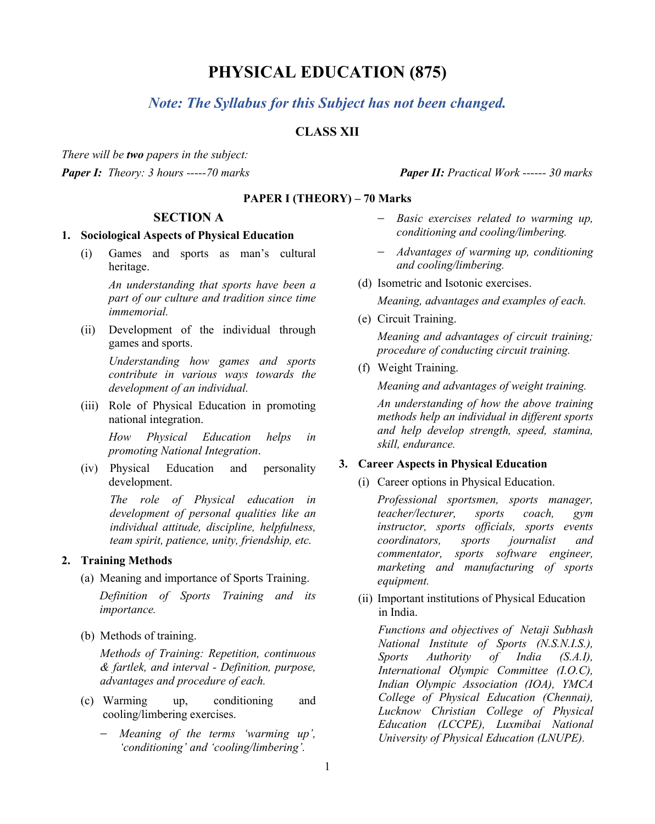# **PHYSICAL EDUCATION (875)**

# *Note: The Syllabus for this Subject has not been changed.*

# **CLASS XII**

*There will be two papers in the subject: Paper I: Theory: 3 hours -----70 marks Paper II: Practical Work ------ 30 marks*

**PAPER I (THEORY) – 70 Marks**

#### **SECTION A**

#### **1. Sociological Aspects of Physical Education**

(i) Games and sports as man's cultural heritage.

> *An understanding that sports have been a part of our culture and tradition since time immemorial.*

(ii) Development of the individual through games and sports.

> *Understanding how games and sports contribute in various ways towards the development of an individual.*

(iii) Role of Physical Education in promoting national integration.

> *How Physical Education helps in promoting National Integration*.

(iv) Physical Education and personality development.

> *The role of Physical education in development of personal qualities like an individual attitude, discipline, helpfulness, team spirit, patience, unity, friendship, etc.*

#### **2. Training Methods**

(a) Meaning and importance of Sports Training.

*Definition of Sports Training and its importance.*

(b) Methods of training.

*Methods of Training: Repetition, continuous & fartlek, and interval - Definition, purpose, advantages and procedure of each.*

- (c) Warming up, conditioning and cooling/limbering exercises.
	- − *Meaning of the terms 'warming up', 'conditioning' and 'cooling/limbering'.*

- − *Basic exercises related to warming up, conditioning and cooling/limbering.*
- − *Advantages of warming up, conditioning and cooling/limbering.*
- (d) Isometric and Isotonic exercises.

*Meaning, advantages and examples of each.*

(e) Circuit Training. *Meaning and advantages of circuit training;* 

*procedure of conducting circuit training.*

(f) Weight Training.

*Meaning and advantages of weight training.* 

*An understanding of how the above training methods help an individual in different sports and help develop strength, speed, stamina, skill, endurance.*

#### **3. Career Aspects in Physical Education**

(i) Career options in Physical Education.

*Professional sportsmen, sports manager, teacher/lecturer, sports coach, gym instructor, sports officials, sports events coordinators, sports journalist and commentator, sports software engineer, marketing and manufacturing of sports equipment.* 

(ii) Important institutions of Physical Education in India.

*Functions and objectives of Netaji Subhash National Institute of Sports (N.S.N.I.S.), Sports Authority of India (S.A.I), International Olympic Committee (I.O.C), Indian Olympic Association (IOA), YMCA College of Physical Education (Chennai), Lucknow Christian College of Physical Education (LCCPE), Luxmibai National University of Physical Education (LNUPE).*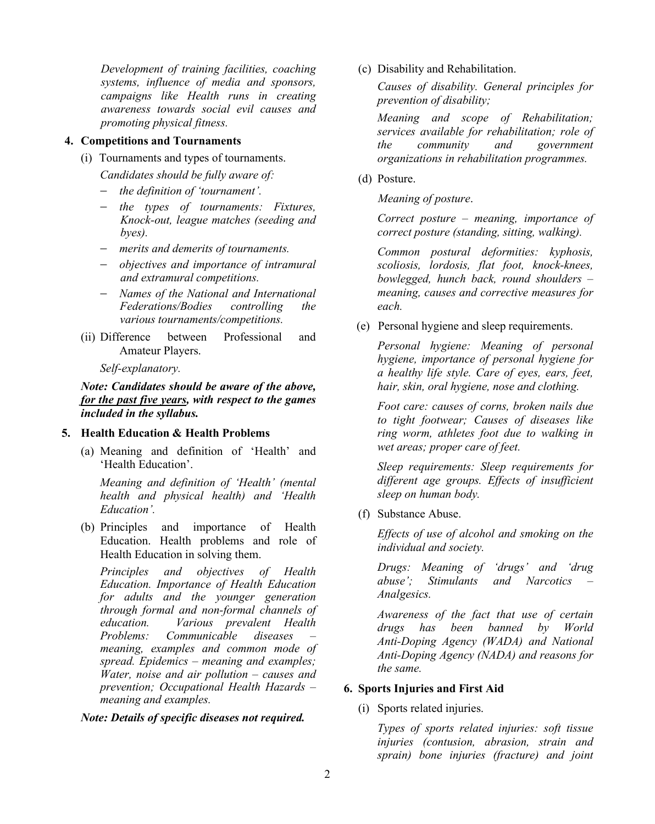*Development of training facilities, coaching systems, influence of media and sponsors, campaigns like Health runs in creating awareness towards social evil causes and promoting physical fitness.* 

#### **4. Competitions and Tournaments**

(i) Tournaments and types of tournaments.

*Candidates should be fully aware of:*

- − *the definition of 'tournament'.*
- − *the types of tournaments: Fixtures, Knock-out, league matches (seeding and byes).*
- − *merits and demerits of tournaments.*
- − *objectives and importance of intramural and extramural competitions.*
- − *Names of the National and International Federations/Bodies controlling the various tournaments/competitions.*
- (ii) Difference between Professional and Amateur Players.

*Self-explanatory.*

*Note: Candidates should be aware of the above, for the past five years, with respect to the games included in the syllabus.*

#### **5. Health Education & Health Problems**

(a) Meaning and definition of 'Health' and 'Health Education'.

*Meaning and definition of 'Health' (mental health and physical health) and 'Health Education'.*

(b) Principles and importance of Health Education. Health problems and role of Health Education in solving them.

*Principles and objectives of Health Education. Importance of Health Education for adults and the younger generation through formal and non-formal channels of education. Various prevalent Health Problems: Communicable meaning, examples and common mode of spread. Epidemics – meaning and examples; Water, noise and air pollution – causes and prevention; Occupational Health Hazards – meaning and examples.*

*Note: Details of specific diseases not required.*

(c) Disability and Rehabilitation.

*Causes of disability. General principles for prevention of disability;*

*Meaning and scope of Rehabilitation; services available for rehabilitation; role of the community and government organizations in rehabilitation programmes.*

(d) Posture.

*Meaning of posture*.

*Correct posture – meaning, importance of correct posture (standing, sitting, walking).*

*Common postural deformities: kyphosis, scoliosis, lordosis, flat foot, knock-knees, bowlegged, hunch back, round shoulders – meaning, causes and corrective measures for each.*

(e) Personal hygiene and sleep requirements.

*Personal hygiene: Meaning of personal hygiene, importance of personal hygiene for a healthy life style. Care of eyes, ears, feet, hair, skin, oral hygiene, nose and clothing.* 

*Foot care: causes of corns, broken nails due to tight footwear; Causes of diseases like ring worm, athletes foot due to walking in wet areas; proper care of feet.*

*Sleep requirements: Sleep requirements for different age groups. Effects of insufficient sleep on human body.*

(f) Substance Abuse.

*Effects of use of alcohol and smoking on the individual and society.* 

*Drugs: Meaning of 'drugs' and 'drug abuse'; Stimulants and Narcotics – Analgesics.* 

*Awareness of the fact that use of certain drugs has been banned by World Anti-Doping Agency (WADA) and National Anti-Doping Agency (NADA) and reasons for the same.*

#### **6. Sports Injuries and First Aid**

#### (i) Sports related injuries.

*Types of sports related injuries: soft tissue injuries (contusion, abrasion, strain and sprain) bone injuries (fracture) and joint*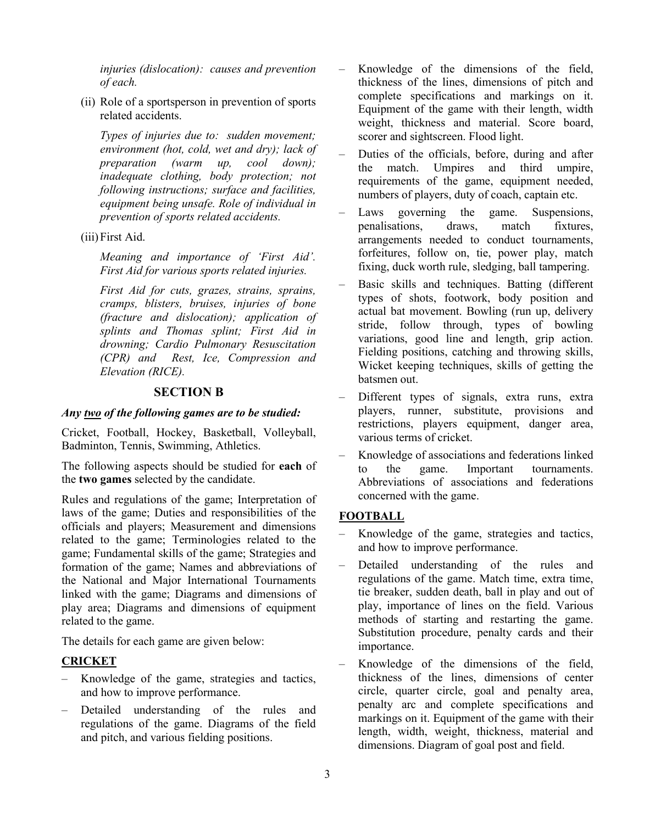*injuries (dislocation): causes and prevention of each.*

(ii) Role of a sportsperson in prevention of sports related accidents.

*Types of injuries due to: sudden movement; environment (hot, cold, wet and dry); lack of preparation (warm up, cool down); inadequate clothing, body protection; not following instructions; surface and facilities, equipment being unsafe. Role of individual in prevention of sports related accidents.*

(iii)First Aid.

*Meaning and importance of 'First Aid'. First Aid for various sports related injuries.*

*First Aid for cuts, grazes, strains, sprains, cramps, blisters, bruises, injuries of bone (fracture and dislocation); application of splints and Thomas splint; First Aid in drowning; Cardio Pulmonary Resuscitation (CPR) and Rest, Ice, Compression and Elevation (RICE).*

#### **SECTION B**

#### *Any two of the following games are to be studied:*

Cricket, Football, Hockey, Basketball, Volleyball, Badminton, Tennis, Swimming, Athletics.

The following aspects should be studied for **each** of the **two games** selected by the candidate.

Rules and regulations of the game; Interpretation of laws of the game; Duties and responsibilities of the officials and players; Measurement and dimensions related to the game; Terminologies related to the game; Fundamental skills of the game; Strategies and formation of the game; Names and abbreviations of the National and Major International Tournaments linked with the game; Diagrams and dimensions of play area; Diagrams and dimensions of equipment related to the game.

The details for each game are given below:

### **CRICKET**

- Knowledge of the game, strategies and tactics, and how to improve performance.
- Detailed understanding of the rules and regulations of the game. Diagrams of the field and pitch, and various fielding positions.
- Knowledge of the dimensions of the field, thickness of the lines, dimensions of pitch and complete specifications and markings on it. Equipment of the game with their length, width weight, thickness and material. Score board, scorer and sightscreen. Flood light.
- Duties of the officials, before, during and after the match. Umpires and third umpire, requirements of the game, equipment needed, numbers of players, duty of coach, captain etc.
- Laws governing the game. Suspensions, penalisations, draws, match fixtures, arrangements needed to conduct tournaments, forfeitures, follow on, tie, power play, match fixing, duck worth rule, sledging, ball tampering.
- Basic skills and techniques. Batting (different types of shots, footwork, body position and actual bat movement. Bowling (run up, delivery stride, follow through, types of bowling variations, good line and length, grip action. Fielding positions, catching and throwing skills, Wicket keeping techniques, skills of getting the batsmen out.
- Different types of signals, extra runs, extra players, runner, substitute, provisions and restrictions, players equipment, danger area, various terms of cricket.
- Knowledge of associations and federations linked to the game. Important tournaments. Abbreviations of associations and federations concerned with the game.

### **FOOTBALL**

- Knowledge of the game, strategies and tactics, and how to improve performance.
- Detailed understanding of the rules and regulations of the game. Match time, extra time, tie breaker, sudden death, ball in play and out of play, importance of lines on the field. Various methods of starting and restarting the game. Substitution procedure, penalty cards and their importance.
- Knowledge of the dimensions of the field, thickness of the lines, dimensions of center circle, quarter circle, goal and penalty area, penalty arc and complete specifications and markings on it. Equipment of the game with their length, width, weight, thickness, material and dimensions. Diagram of goal post and field.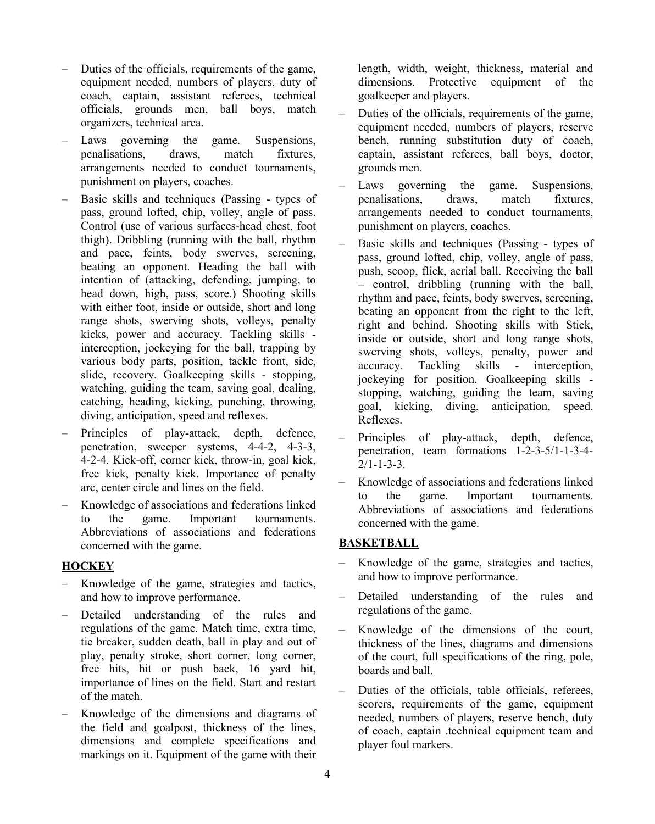- Duties of the officials, requirements of the game, equipment needed, numbers of players, duty of coach, captain, assistant referees, technical officials, grounds men, ball boys, match organizers, technical area.
- Laws governing the game. Suspensions,<br>
penalisations. draws, match fixtures. penalisations, draws, match fixtures, arrangements needed to conduct tournaments, punishment on players, coaches.
- Basic skills and techniques (Passing types of pass, ground lofted, chip, volley, angle of pass. Control (use of various surfaces-head chest, foot thigh). Dribbling (running with the ball, rhythm and pace, feints, body swerves, screening, beating an opponent. Heading the ball with intention of (attacking, defending, jumping, to head down, high, pass, score.) Shooting skills with either foot, inside or outside, short and long range shots, swerving shots, volleys, penalty kicks, power and accuracy. Tackling skills interception, jockeying for the ball, trapping by various body parts, position, tackle front, side, slide, recovery. Goalkeeping skills - stopping, watching, guiding the team, saving goal, dealing, catching, heading, kicking, punching, throwing, diving, anticipation, speed and reflexes.
- Principles of play-attack, depth, defence, penetration, sweeper systems, 4-4-2, 4-3-3, 4-2-4. Kick-off, corner kick, throw-in, goal kick, free kick, penalty kick. Importance of penalty arc, center circle and lines on the field.
- Knowledge of associations and federations linked to the game. Important tournaments. Abbreviations of associations and federations concerned with the game.

### **HOCKEY**

- Knowledge of the game, strategies and tactics, and how to improve performance.
- Detailed understanding of the rules and regulations of the game. Match time, extra time, tie breaker, sudden death, ball in play and out of play, penalty stroke, short corner, long corner, free hits, hit or push back, 16 yard hit, importance of lines on the field. Start and restart of the match.
- Knowledge of the dimensions and diagrams of the field and goalpost, thickness of the lines, dimensions and complete specifications and markings on it. Equipment of the game with their

length, width, weight, thickness, material and dimensions. Protective equipment of the goalkeeper and players.

- Duties of the officials, requirements of the game, equipment needed, numbers of players, reserve bench, running substitution duty of coach, captain, assistant referees, ball boys, doctor, grounds men.
- Laws governing the game. Suspensions, penalisations, draws, match fixtures, arrangements needed to conduct tournaments, punishment on players, coaches.
- Basic skills and techniques (Passing types of pass, ground lofted, chip, volley, angle of pass, push, scoop, flick, aerial ball. Receiving the ball – control, dribbling (running with the ball, rhythm and pace, feints, body swerves, screening, beating an opponent from the right to the left, right and behind. Shooting skills with Stick, inside or outside, short and long range shots, swerving shots, volleys, penalty, power and accuracy. Tackling skills - interception, jockeying for position. Goalkeeping skills stopping, watching, guiding the team, saving goal, kicking, diving, anticipation, speed. Reflexes.
- Principles of play-attack, depth, defence, penetration, team formations 1-2-3-5/1-1-3-4-  $2/1 - 1 - 3 - 3$ .
- Knowledge of associations and federations linked to the game. Important tournaments. Abbreviations of associations and federations concerned with the game.

### **BASKETBALL**

- Knowledge of the game, strategies and tactics, and how to improve performance.
- Detailed understanding of the rules and regulations of the game.
- Knowledge of the dimensions of the court, thickness of the lines, diagrams and dimensions of the court, full specifications of the ring, pole, boards and ball.
- Duties of the officials, table officials, referees, scorers, requirements of the game, equipment needed, numbers of players, reserve bench, duty of coach, captain .technical equipment team and player foul markers.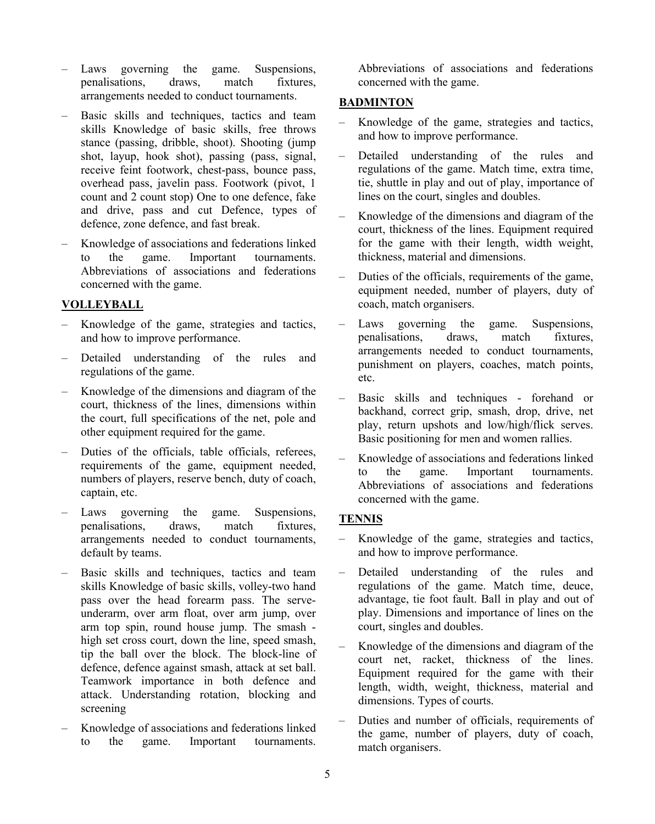- Laws governing the game. Suspensions,<br>penalisations, draws, match fixtures, penalisations, draws, match arrangements needed to conduct tournaments.
- Basic skills and techniques, tactics and team skills Knowledge of basic skills, free throws stance (passing, dribble, shoot). Shooting (jump shot, layup, hook shot), passing (pass, signal, receive feint footwork, chest-pass, bounce pass, overhead pass, javelin pass. Footwork (pivot, 1 count and 2 count stop) One to one defence, fake and drive, pass and cut Defence, types of defence, zone defence, and fast break.
- Knowledge of associations and federations linked to the game. Important tournaments. Abbreviations of associations and federations concerned with the game.

### **VOLLEYBALL**

- Knowledge of the game, strategies and tactics, and how to improve performance.
- Detailed understanding of the rules and regulations of the game.
- Knowledge of the dimensions and diagram of the court, thickness of the lines, dimensions within the court, full specifications of the net, pole and other equipment required for the game.
- Duties of the officials, table officials, referees, requirements of the game, equipment needed, numbers of players, reserve bench, duty of coach, captain, etc.
- Laws governing the game. Suspensions, penalisations, draws, match fixtures, arrangements needed to conduct tournaments, default by teams.
- Basic skills and techniques, tactics and team skills Knowledge of basic skills, volley-two hand pass over the head forearm pass. The serveunderarm, over arm float, over arm jump, over arm top spin, round house jump. The smash high set cross court, down the line, speed smash, tip the ball over the block. The block-line of defence, defence against smash, attack at set ball. Teamwork importance in both defence and attack. Understanding rotation, blocking and screening
- Knowledge of associations and federations linked to the game. Important tournaments.

Abbreviations of associations and federations concerned with the game.

### **BADMINTON**

- Knowledge of the game, strategies and tactics, and how to improve performance.
- Detailed understanding of the rules and regulations of the game. Match time, extra time, tie, shuttle in play and out of play, importance of lines on the court, singles and doubles.
- Knowledge of the dimensions and diagram of the court, thickness of the lines. Equipment required for the game with their length, width weight, thickness, material and dimensions.
- Duties of the officials, requirements of the game, equipment needed, number of players, duty of coach, match organisers.
- Laws governing the game. Suspensions,<br>
penalisations. draws, match fixtures. penalisations, draws, match fixtures, arrangements needed to conduct tournaments, punishment on players, coaches, match points, etc.
- Basic skills and techniques forehand or backhand, correct grip, smash, drop, drive, net play, return upshots and low/high/flick serves. Basic positioning for men and women rallies.
- Knowledge of associations and federations linked to the game. Important tournaments. Abbreviations of associations and federations concerned with the game.

# **TENNIS**

- Knowledge of the game, strategies and tactics, and how to improve performance.
- Detailed understanding of the rules and regulations of the game. Match time, deuce, advantage, tie foot fault. Ball in play and out of play. Dimensions and importance of lines on the court, singles and doubles.
- Knowledge of the dimensions and diagram of the court net, racket, thickness of the lines. Equipment required for the game with their length, width, weight, thickness, material and dimensions. Types of courts.
- Duties and number of officials, requirements of the game, number of players, duty of coach, match organisers.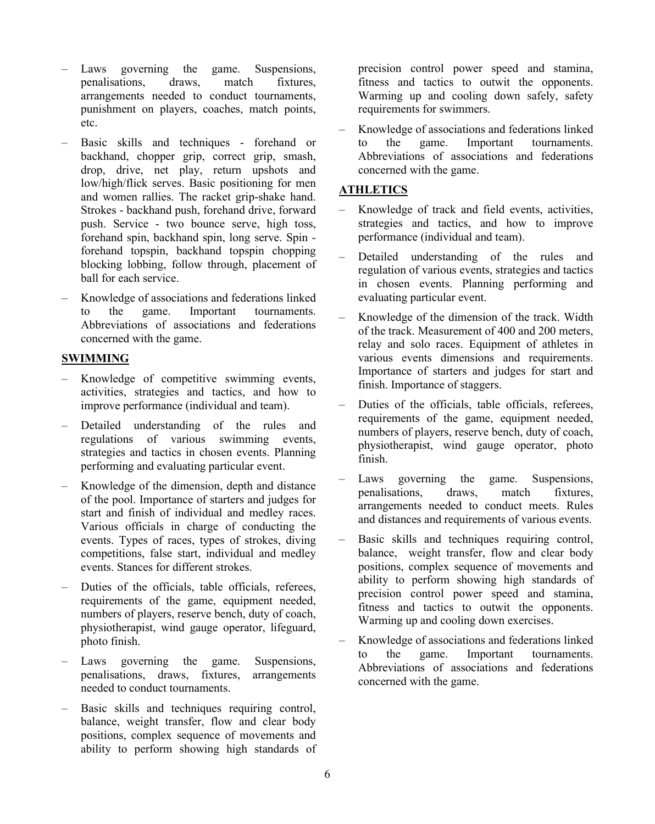- Laws governing the game. Suspensions,<br>
penalisations. draws, match fixtures. penalisations. arrangements needed to conduct tournaments, punishment on players, coaches, match points, etc.
- Basic skills and techniques forehand or backhand, chopper grip, correct grip, smash, drop, drive, net play, return upshots and low/high/flick serves. Basic positioning for men and women rallies. The racket grip-shake hand. Strokes - backhand push, forehand drive, forward push. Service - two bounce serve, high toss, forehand spin, backhand spin, long serve. Spin forehand topspin, backhand topspin chopping blocking lobbing, follow through, placement of ball for each service.
- Knowledge of associations and federations linked to the game. Important tournaments. Abbreviations of associations and federations concerned with the game.

#### **SWIMMING**

- Knowledge of competitive swimming events, activities, strategies and tactics, and how to improve performance (individual and team).
- Detailed understanding of the rules and regulations of various swimming events, strategies and tactics in chosen events. Planning performing and evaluating particular event.
- Knowledge of the dimension, depth and distance of the pool. Importance of starters and judges for start and finish of individual and medley races. Various officials in charge of conducting the events. Types of races, types of strokes, diving competitions, false start, individual and medley events. Stances for different strokes.
- Duties of the officials, table officials, referees, requirements of the game, equipment needed, numbers of players, reserve bench, duty of coach, physiotherapist, wind gauge operator, lifeguard, photo finish.
- Laws governing the game. Suspensions, penalisations, draws, fixtures, arrangements needed to conduct tournaments.
- Basic skills and techniques requiring control, balance, weight transfer, flow and clear body positions, complex sequence of movements and ability to perform showing high standards of

precision control power speed and stamina, fitness and tactics to outwit the opponents. Warming up and cooling down safely, safety requirements for swimmers.

– Knowledge of associations and federations linked to the game. Important tournaments. Abbreviations of associations and federations concerned with the game.

### **ATHLETICS**

- Knowledge of track and field events, activities, strategies and tactics, and how to improve performance (individual and team).
- Detailed understanding of the rules and regulation of various events, strategies and tactics in chosen events. Planning performing and evaluating particular event.
- Knowledge of the dimension of the track. Width of the track. Measurement of 400 and 200 meters, relay and solo races. Equipment of athletes in various events dimensions and requirements. Importance of starters and judges for start and finish. Importance of staggers.
- Duties of the officials, table officials, referees, requirements of the game, equipment needed, numbers of players, reserve bench, duty of coach, physiotherapist, wind gauge operator, photo finish.
- Laws governing the game. Suspensions, penalisations, draws, match fixtures, arrangements needed to conduct meets. Rules and distances and requirements of various events.
- Basic skills and techniques requiring control, balance, weight transfer, flow and clear body positions, complex sequence of movements and ability to perform showing high standards of precision control power speed and stamina, fitness and tactics to outwit the opponents. Warming up and cooling down exercises.
- Knowledge of associations and federations linked to the game. Important tournaments. Abbreviations of associations and federations concerned with the game.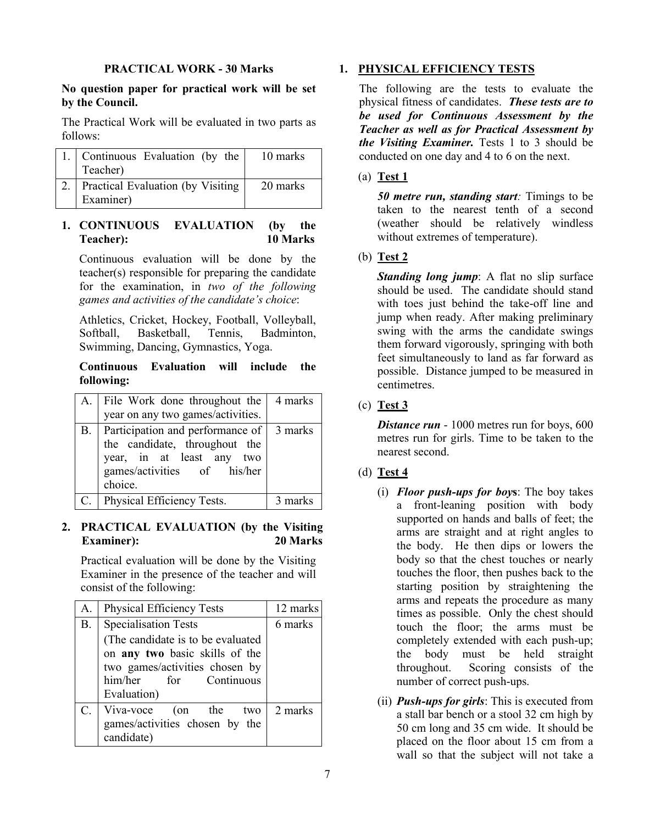#### **PRACTICAL WORK - 30 Marks**

### **No question paper for practical work will be set by the Council.**

The Practical Work will be evaluated in two parts as follows:

| 1. Continuous Evaluation (by the<br>Teacher)       | 10 marks |
|----------------------------------------------------|----------|
| 2. Practical Evaluation (by Visiting)<br>Examiner) | 20 marks |

# **1. CONTINUOUS EVALUATION (by the Teacher): 10 Marks**

Continuous evaluation will be done by the teacher(s) responsible for preparing the candidate for the examination, in *two of the following games and activities of the candidate's choice*:

Athletics, Cricket, Hockey, Football, Volleyball, Softball, Basketball, Tennis, Badminton, Swimming, Dancing, Gymnastics, Yoga.

#### **Continuous Evaluation will include the following:**

| A. | File Work done throughout the $\vert$ 4 marks                                                                                                      |         |
|----|----------------------------------------------------------------------------------------------------------------------------------------------------|---------|
|    | year on any two games/activities.                                                                                                                  |         |
| B. | Participation and performance of   3 marks<br>the candidate, throughout the<br>year, in at least any two<br>games/activities of his/her<br>choice. |         |
| C. | Physical Efficiency Tests.                                                                                                                         | 3 marks |

# **2. PRACTICAL EVALUATION (by the Visiting Examiner): 20 Marks**

Practical evaluation will be done by the Visiting Examiner in the presence of the teacher and will consist of the following:

| А.        | <b>Physical Efficiency Tests</b>                                                                                                                  | 12 marks |
|-----------|---------------------------------------------------------------------------------------------------------------------------------------------------|----------|
| <b>B.</b> | <b>Specialisation Tests</b>                                                                                                                       | 6 marks  |
|           | (The candidate is to be evaluated<br>on any two basic skills of the<br>two games/activities chosen by<br>him/her<br>for Continuous<br>Evaluation) |          |
| C.        | Viva-voce (on the two<br>games/activities chosen by the<br>candidate)                                                                             | 2 marks  |

# **1. PHYSICAL EFFICIENCY TESTS**

The following are the tests to evaluate the physical fitness of candidates. *These tests are to be used for Continuous Assessment by the Teacher as well as for Practical Assessment by the Visiting Examiner.* Tests 1 to 3 should be conducted on one day and 4 to 6 on the next.

### (a) **Test 1**

*50 metre run, standing start:* Timings to be taken to the nearest tenth of a second (weather should be relatively windless without extremes of temperature).

# (b) **Test 2**

*Standing long jump:* A flat no slip surface should be used. The candidate should stand with toes just behind the take-off line and jump when ready. After making preliminary swing with the arms the candidate swings them forward vigorously, springing with both feet simultaneously to land as far forward as possible. Distance jumped to be measured in centimetres.

# (c) **Test 3**

*Distance run* - 1000 metres run for boys, 600 metres run for girls. Time to be taken to the nearest second.

# (d) **Test 4**

- (i) *Floor push-ups for boy***s**: The boy takes a front-leaning position with body supported on hands and balls of feet; the arms are straight and at right angles to the body. He then dips or lowers the body so that the chest touches or nearly touches the floor, then pushes back to the starting position by straightening the arms and repeats the procedure as many times as possible. Only the chest should touch the floor; the arms must be completely extended with each push-up; the body must be held straight throughout. Scoring consists of the number of correct push-ups.
- (ii) *Push-ups for girls*: This is executed from a stall bar bench or a stool 32 cm high by 50 cm long and 35 cm wide. It should be placed on the floor about 15 cm from a wall so that the subject will not take a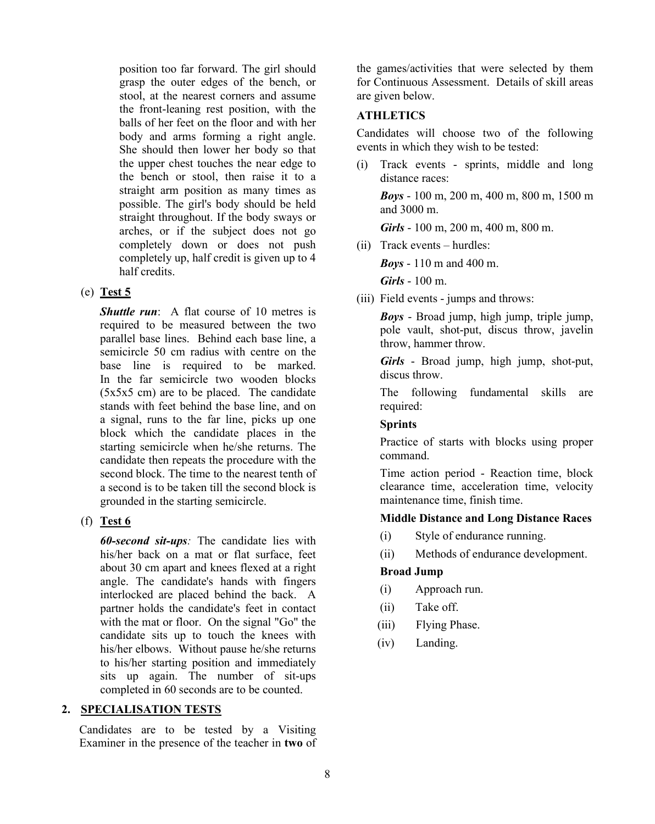position too far forward. The girl should grasp the outer edges of the bench, or stool, at the nearest corners and assume the front-leaning rest position, with the balls of her feet on the floor and with her body and arms forming a right angle. She should then lower her body so that the upper chest touches the near edge to the bench or stool, then raise it to a straight arm position as many times as possible. The girl's body should be held straight throughout. If the body sways or arches, or if the subject does not go completely down or does not push completely up, half credit is given up to 4 half credits.

# (e) **Test 5**

*Shuttle run*: A flat course of 10 metres is required to be measured between the two parallel base lines. Behind each base line, a semicircle 50 cm radius with centre on the base line is required to be marked. In the far semicircle two wooden blocks (5x5x5 cm) are to be placed. The candidate stands with feet behind the base line, and on a signal, runs to the far line, picks up one block which the candidate places in the starting semicircle when he/she returns. The candidate then repeats the procedure with the second block. The time to the nearest tenth of a second is to be taken till the second block is grounded in the starting semicircle.

# (f) **Test 6**

*60-second sit-ups:* The candidate lies with his/her back on a mat or flat surface, feet about 30 cm apart and knees flexed at a right angle. The candidate's hands with fingers interlocked are placed behind the back. A partner holds the candidate's feet in contact with the mat or floor. On the signal "Go" the candidate sits up to touch the knees with his/her elbows. Without pause he/she returns to his/her starting position and immediately sits up again. The number of sit-ups completed in 60 seconds are to be counted.

# **2. SPECIALISATION TESTS**

Candidates are to be tested by a Visiting Examiner in the presence of the teacher in **two** of the games/activities that were selected by them for Continuous Assessment. Details of skill areas are given below.

### **ATHLETICS**

Candidates will choose two of the following events in which they wish to be tested:

(i) Track events - sprints, middle and long distance races:

*Boys* - 100 m, 200 m, 400 m, 800 m, 1500 m and 3000 m.

*Girls* - 100 m, 200 m, 400 m, 800 m.

(ii) Track events – hurdles:

*Boys* - 110 m and 400 m.

*Girls* - 100 m.

(iii) Field events - jumps and throws:

*Boys* - Broad jump, high jump, triple jump, pole vault, shot-put, discus throw, javelin throw, hammer throw.

*Girls* - Broad jump, high jump, shot-put, discus throw.

The following fundamental skills are required:

### **Sprints**

Practice of starts with blocks using proper command.

Time action period - Reaction time, block clearance time, acceleration time, velocity maintenance time, finish time.

### **Middle Distance and Long Distance Races**

- (i) Style of endurance running.
- (ii) Methods of endurance development.

### **Broad Jump**

- (i) Approach run.
- (ii) Take off.
- (iii) Flying Phase.
- (iv) Landing.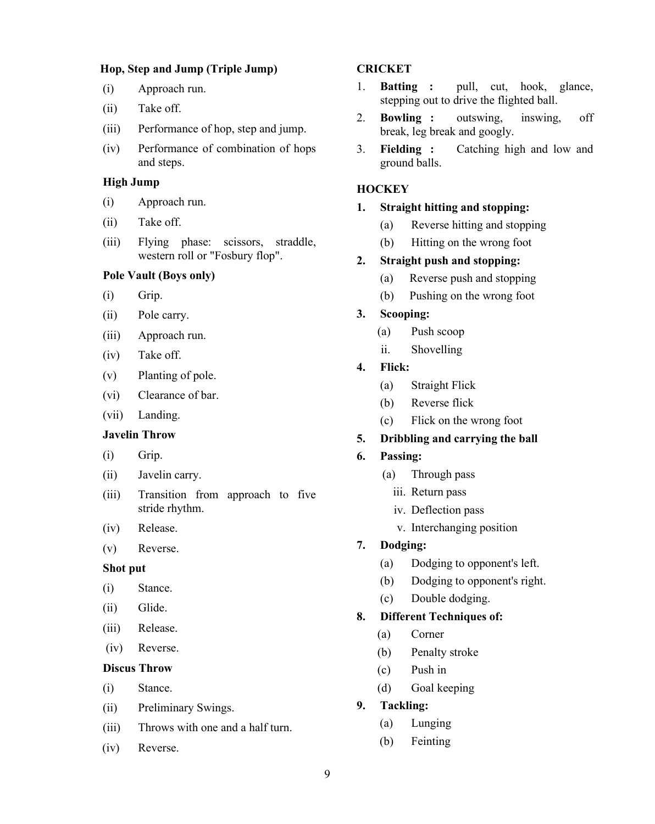#### **Hop, Step and Jump (Triple Jump)**

- (i) Approach run.
- (ii) Take off.
- (iii) Performance of hop, step and jump.
- (iv) Performance of combination of hops and steps.

#### **High Jump**

- (i) Approach run.
- (ii) Take off.
- (iii) Flying phase: scissors, straddle, western roll or "Fosbury flop".

### **Pole Vault (Boys only)**

- (i) Grip.
- (ii) Pole carry.
- (iii) Approach run.
- (iv) Take off.
- (v) Planting of pole.
- (vi) Clearance of bar.
- (vii) Landing.

#### **Javelin Throw**

- (i) Grip.
- (ii) Javelin carry.
- (iii) Transition from approach to five stride rhythm.
- (iv) Release.
- (v) Reverse.

#### **Shot put**

- (i) Stance.
- (ii) Glide.
- (iii) Release.
- (iv) Reverse.

#### **Discus Throw**

- (i) Stance.
- (ii) Preliminary Swings.
- (iii) Throws with one and a half turn.
- (iv) Reverse.

### **CRICKET**

- 1. **Batting :** pull, cut, hook, glance, stepping out to drive the flighted ball.
- 2. **Bowling :** outswing, inswing, off break, leg break and googly.
- 3. **Fielding :** Catching high and low and ground balls.

#### **HOCKEY**

### **1. Straight hitting and stopping:**

- (a) Reverse hitting and stopping
- (b) Hitting on the wrong foot

#### **2. Straight push and stopping:**

- (a) Reverse push and stopping
- (b) Pushing on the wrong foot
- **3. Scooping:**
	- (a) Push scoop
	- ii. Shovelling
- **4. Flick:**
	- (a) Straight Flick
	- (b) Reverse flick
	- (c) Flick on the wrong foot

#### **5. Dribbling and carrying the ball**

- **6. Passing:**
	- (a) Through pass
		- iii. Return pass
		- iv. Deflection pass
		- v. Interchanging position
- **7. Dodging:**
	- (a) Dodging to opponent's left.
	- (b) Dodging to opponent's right.
	- (c) Double dodging.

#### **8. Different Techniques of:**

- (a) Corner
- (b) Penalty stroke
- (c) Push in
- (d) Goal keeping
- **9. Tackling:**
	- (a) Lunging
	- (b) Feinting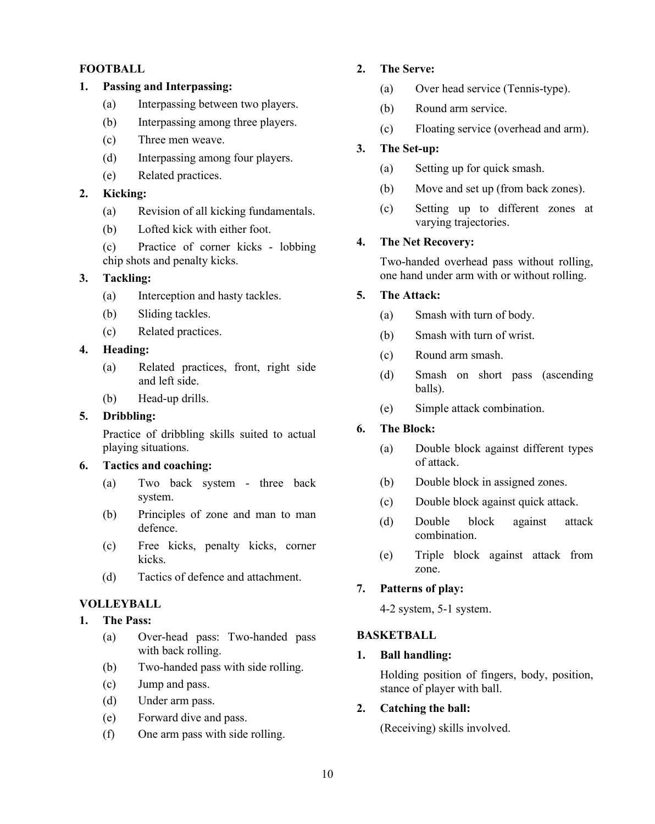### **FOOTBALL**

### **1. Passing and Interpassing:**

- (a) Interpassing between two players.
- (b) Interpassing among three players.
- (c) Three men weave.
- (d) Interpassing among four players.
- (e) Related practices.

# **2. Kicking:**

- (a) Revision of all kicking fundamentals.
- (b) Lofted kick with either foot.
- (c) Practice of corner kicks lobbing chip shots and penalty kicks.

### **3. Tackling:**

- (a) Interception and hasty tackles.
- (b) Sliding tackles.
- (c) Related practices.

#### **4. Heading:**

- (a) Related practices, front, right side and left side.
- (b) Head-up drills.

### **5. Dribbling:**

Practice of dribbling skills suited to actual playing situations.

### **6. Tactics and coaching:**

- (a) Two back system three back system.
- (b) Principles of zone and man to man defence.
- (c) Free kicks, penalty kicks, corner kicks.
- (d) Tactics of defence and attachment.

### **VOLLEYBALL**

#### **1. The Pass:**

- (a) Over-head pass: Two-handed pass with back rolling.
- (b) Two-handed pass with side rolling.
- (c) Jump and pass.
- (d) Under arm pass.
- (e) Forward dive and pass.
- (f) One arm pass with side rolling.

# **2. The Serve:**

- (a) Over head service (Tennis-type).
- (b) Round arm service.
- (c) Floating service (overhead and arm).

### **3. The Set-up:**

- (a) Setting up for quick smash.
- (b) Move and set up (from back zones).
- (c) Setting up to different zones at varying trajectories.

#### **4. The Net Recovery:**

Two-handed overhead pass without rolling, one hand under arm with or without rolling.

# **5. The Attack:**

- (a) Smash with turn of body.
- (b) Smash with turn of wrist.
- (c) Round arm smash.
- (d) Smash on short pass (ascending balls).
- (e) Simple attack combination.

#### **6. The Block:**

- (a) Double block against different types of attack.
- (b) Double block in assigned zones.
- (c) Double block against quick attack.
- (d) Double block against attack combination.
- (e) Triple block against attack from zone.

### **7. Patterns of play:**

4-2 system, 5-1 system.

#### **BASKETBALL**

#### **1. Ball handling:**

Holding position of fingers, body, position, stance of player with ball.

### **2. Catching the ball:**

(Receiving) skills involved.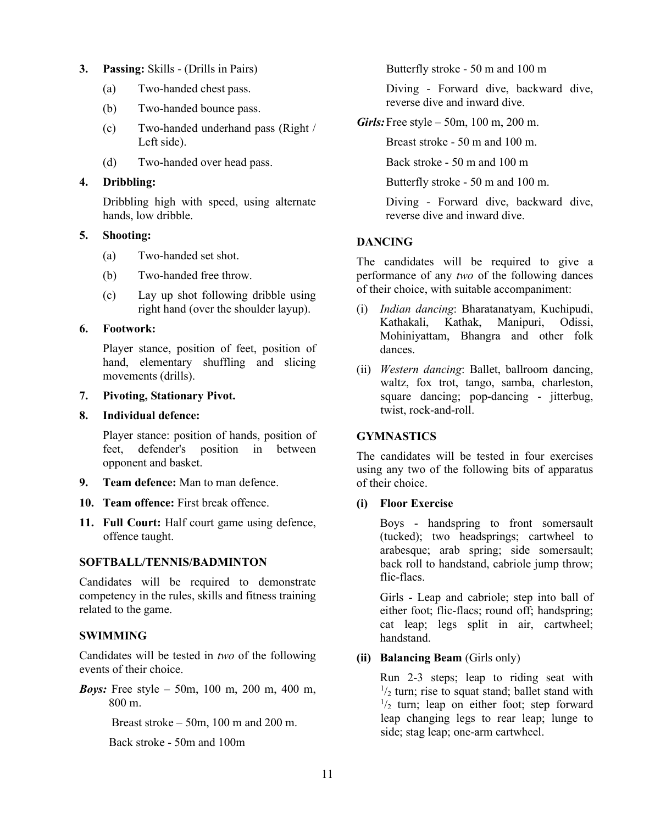#### **3. Passing:** Skills - (Drills in Pairs)

- (a) Two-handed chest pass.
- (b) Two-handed bounce pass.
- (c) Two-handed underhand pass (Right / Left side).
- (d) Two-handed over head pass.

#### **4. Dribbling:**

Dribbling high with speed, using alternate hands, low dribble.

#### **5. Shooting:**

- (a) Two-handed set shot.
- (b) Two-handed free throw.
- (c) Lay up shot following dribble using right hand (over the shoulder layup).

#### **6. Footwork:**

Player stance, position of feet, position of hand, elementary shuffling and slicing movements (drills).

#### **7. Pivoting, Stationary Pivot.**

#### **8. Individual defence:**

Player stance: position of hands, position of feet, defender's position in between opponent and basket.

- **9. Team defence:** Man to man defence.
- **10. Team offence:** First break offence.
- **11. Full Court:** Half court game using defence, offence taught.

### **SOFTBALL/TENNIS/BADMINTON**

Candidates will be required to demonstrate competency in the rules, skills and fitness training related to the game.

### **SWIMMING**

Candidates will be tested in *two* of the following events of their choice.

*Boys:* Free style – 50m, 100 m, 200 m, 400 m, 800 m.

Breast stroke  $-50m$ , 100 m and 200 m.

Back stroke - 50m and 100m

Butterfly stroke - 50 m and 100 m

Diving - Forward dive, backward dive, reverse dive and inward dive.

*Girls:*Free style – 50m, 100 m, 200 m.

Breast stroke - 50 m and 100 m.

Back stroke - 50 m and 100 m

Butterfly stroke - 50 m and 100 m.

Diving - Forward dive, backward dive, reverse dive and inward dive.

### **DANCING**

The candidates will be required to give a performance of any *two* of the following dances of their choice, with suitable accompaniment:

- (i) *Indian dancing*: Bharatanatyam, Kuchipudi, Kathakali, Kathak, Manipuri, Odissi, Mohiniyattam, Bhangra and other folk dances.
- (ii) *Western dancing*: Ballet, ballroom dancing, waltz, fox trot, tango, samba, charleston, square dancing; pop-dancing - jitterbug, twist, rock-and-roll.

### **GYMNASTICS**

The candidates will be tested in four exercises using any two of the following bits of apparatus of their choice.

### **(i) Floor Exercise**

Boys - handspring to front somersault (tucked); two headsprings; cartwheel to arabesque; arab spring; side somersault; back roll to handstand, cabriole jump throw; flic-flacs.

Girls - Leap and cabriole; step into ball of either foot; flic-flacs; round off; handspring; cat leap; legs split in air, cartwheel; handstand.

### **(ii) Balancing Beam** (Girls only)

Run 2-3 steps; leap to riding seat with  $\frac{1}{2}$  turn; rise to squat stand; ballet stand with  $\frac{1}{2}$  turn; leap on either foot; step forward leap changing legs to rear leap; lunge to side; stag leap; one-arm cartwheel.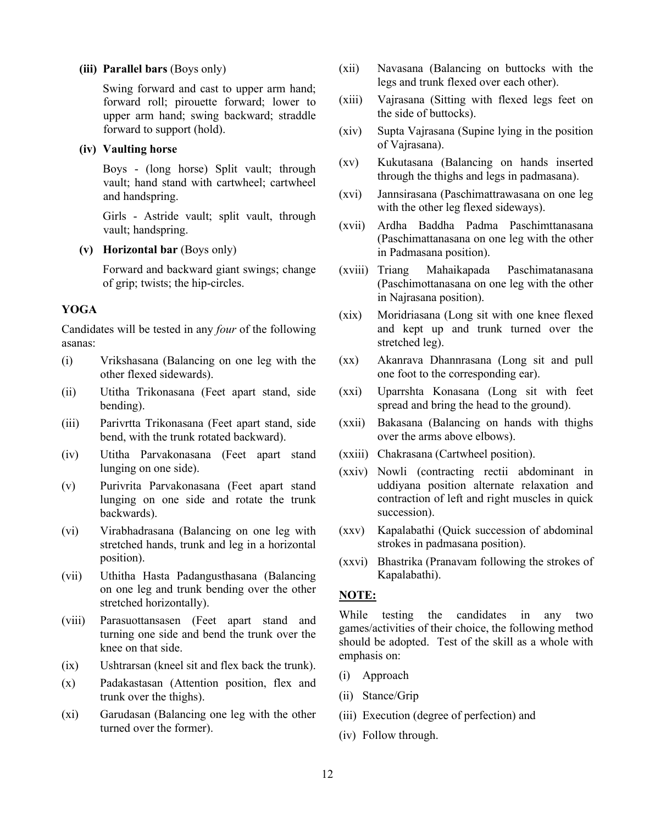#### **(iii) Parallel bars** (Boys only)

Swing forward and cast to upper arm hand; forward roll; pirouette forward; lower to upper arm hand; swing backward; straddle forward to support (hold).

#### **(iv) Vaulting horse**

Boys - (long horse) Split vault; through vault; hand stand with cartwheel; cartwheel and handspring.

Girls - Astride vault; split vault, through vault; handspring.

**(v) Horizontal bar** (Boys only)

Forward and backward giant swings; change of grip; twists; the hip-circles.

#### **YOGA**

Candidates will be tested in any *four* of the following asanas:

- (i) Vrikshasana (Balancing on one leg with the other flexed sidewards).
- (ii) Utitha Trikonasana (Feet apart stand, side bending).
- (iii) Parivrtta Trikonasana (Feet apart stand, side bend, with the trunk rotated backward).
- (iv) Utitha Parvakonasana (Feet apart stand lunging on one side).
- (v) Purivrita Parvakonasana (Feet apart stand lunging on one side and rotate the trunk backwards).
- (vi) Virabhadrasana (Balancing on one leg with stretched hands, trunk and leg in a horizontal position).
- (vii) Uthitha Hasta Padangusthasana (Balancing on one leg and trunk bending over the other stretched horizontally).
- (viii) Parasuottansasen (Feet apart stand and turning one side and bend the trunk over the knee on that side.
- (ix) Ushtrarsan (kneel sit and flex back the trunk).
- (x) Padakastasan (Attention position, flex and trunk over the thighs).
- (xi) Garudasan (Balancing one leg with the other turned over the former).
- (xii) Navasana (Balancing on buttocks with the legs and trunk flexed over each other).
- (xiii) Vajrasana (Sitting with flexed legs feet on the side of buttocks).
- (xiv) Supta Vajrasana (Supine lying in the position of Vajrasana).
- (xv) Kukutasana (Balancing on hands inserted through the thighs and legs in padmasana).
- (xvi) Jannsirasana (Paschimattrawasana on one leg with the other leg flexed sideways).
- (xvii) Ardha Baddha Padma Paschimttanasana (Paschimattanasana on one leg with the other in Padmasana position).
- (xviii) Triang Mahaikapada Paschimatanasana (Paschimottanasana on one leg with the other in Najrasana position).
- (xix) Moridriasana (Long sit with one knee flexed and kept up and trunk turned over the stretched leg).
- (xx) Akanrava Dhannrasana (Long sit and pull one foot to the corresponding ear).
- (xxi) Uparrshta Konasana (Long sit with feet spread and bring the head to the ground).
- (xxii) Bakasana (Balancing on hands with thighs over the arms above elbows).
- (xxiii) Chakrasana (Cartwheel position).
- (xxiv) Nowli (contracting rectii abdominant in uddiyana position alternate relaxation and contraction of left and right muscles in quick succession).
- (xxv) Kapalabathi (Quick succession of abdominal strokes in padmasana position).
- (xxvi) Bhastrika (Pranavam following the strokes of Kapalabathi).

#### **NOTE:**

While testing the candidates in any two games/activities of their choice, the following method should be adopted. Test of the skill as a whole with emphasis on:

- (i) Approach
- (ii) Stance/Grip
- (iii) Execution (degree of perfection) and
- (iv) Follow through.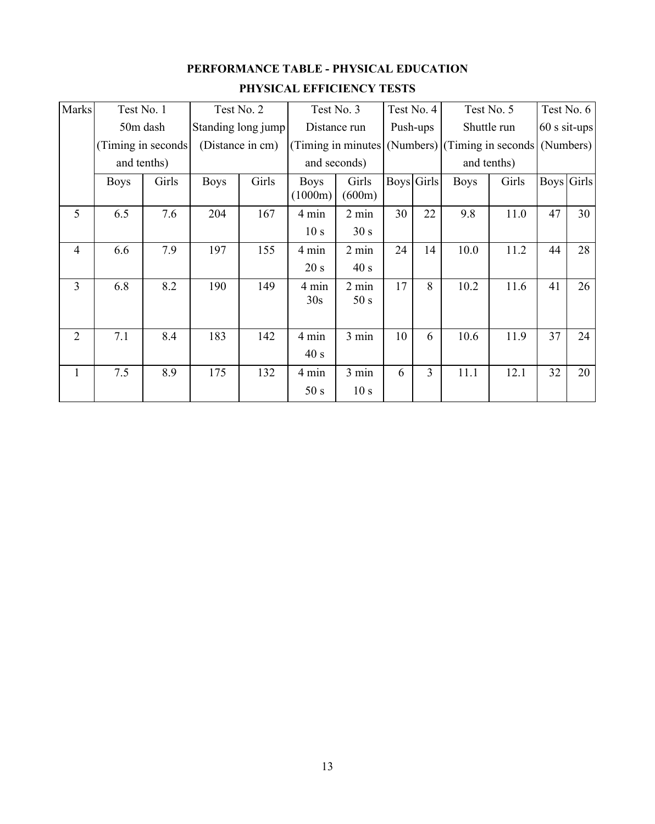# **PERFORMANCE TABLE - PHYSICAL EDUCATION PHYSICAL EFFICIENCY TESTS**

| Marks          | Test No. 1  |                     | Test No. 2         |       |                        |                         | Test No. 3 | Test No. 4 |                                        | Test No. 5 |                |                   | Test No. 6 |
|----------------|-------------|---------------------|--------------------|-------|------------------------|-------------------------|------------|------------|----------------------------------------|------------|----------------|-------------------|------------|
|                |             | 50m dash            | Standing long jump |       | Distance run           |                         | Push-ups   |            | Shuttle run                            |            | $60$ s sit-ups |                   |            |
|                |             | (Timing in seconds) | (Distance in cm)   |       | (Timing in minutes)    |                         |            |            | (Numbers) (Timing in seconds (Numbers) |            |                |                   |            |
|                |             | and tenths)         |                    |       |                        | and seconds)            |            |            | and tenths)                            |            |                |                   |            |
|                | <b>Boys</b> | Girls               | <b>Boys</b>        | Girls | <b>Boys</b><br>(1000m) | Girls<br>(600m)         | Boys Girls |            | <b>Boys</b>                            | Girls      |                | <b>Boys</b> Girls |            |
| 5              | 6.5         | 7.6                 | 204                | 167   | 4 min                  | $2 \text{ min}$         | 30         | 22         | 9.8                                    | 11.0       | 47             | 30                |            |
|                |             |                     |                    |       | 10 <sub>s</sub>        | 30 s                    |            |            |                                        |            |                |                   |            |
| $\overline{4}$ | 6.6         | 7.9                 | 197                | 155   | 4 min                  | 2 min                   | 24         | 14         | 10.0                                   | 11.2       | 44             | 28                |            |
|                |             |                     |                    |       | 20 s                   | 40 s                    |            |            |                                        |            |                |                   |            |
| 3              | 6.8         | 8.2                 | 190                | 149   | 4 min<br>30s           | $2 \text{ min}$<br>50 s | 17         | 8          | 10.2                                   | 11.6       | 41             | 26                |            |
| $\overline{2}$ | 7.1         | 8.4                 | 183                | 142   | 4 min<br>40 s          | 3 min                   | 10         | 6          | 10.6                                   | 11.9       | 37             | 24                |            |
| 1              | 7.5         | 8.9                 | 175                | 132   | 4 min                  | 3 min                   | 6          | 3          | 11.1                                   | 12.1       | 32             | 20                |            |
|                |             |                     |                    |       | 50 s                   | 10 <sub>s</sub>         |            |            |                                        |            |                |                   |            |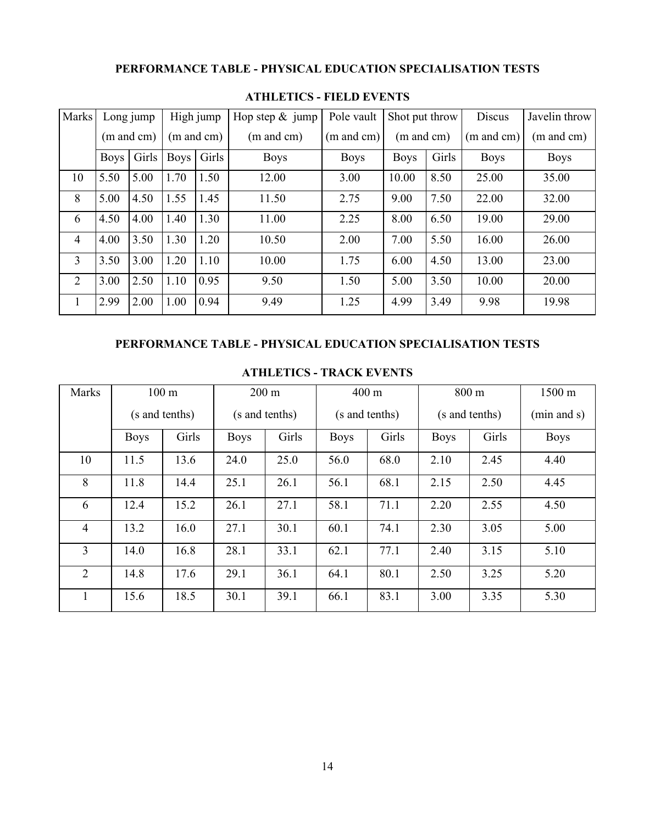# **PERFORMANCE TABLE - PHYSICAL EDUCATION SPECIALISATION TESTS**

| Marks          | High jump<br>Long jump |       | Hop step $& jump$ | Pole vault |             | Shot put throw        | Discus                | Javelin throw |             |             |            |            |
|----------------|------------------------|-------|-------------------|------------|-------------|-----------------------|-----------------------|---------------|-------------|-------------|------------|------------|
|                | $(m \text{ and } cm)$  |       | (m and cm)        |            | (m and cm)  | $(m \text{ and } cm)$ | $(m \text{ and } cm)$ |               |             |             | (m and cm) | (m and cm) |
|                | <b>Boys</b>            | Girls | <b>Boys</b>       | Girls      | <b>Boys</b> | <b>Boys</b>           | <b>Boys</b>           | Girls         | <b>Boys</b> | <b>Boys</b> |            |            |
| 10             | 5.50                   | 5.00  | 1.70              | 1.50       | 12.00       | 3.00                  | 10.00                 | 8.50          | 25.00       | 35.00       |            |            |
| 8              | 5.00                   | 4.50  | 1.55              | 1.45       | 11.50       | 2.75                  | 9.00                  | 7.50          | 22.00       | 32.00       |            |            |
| 6              | 4.50                   | 4.00  | 1.40              | 1.30       | 11.00       | 2.25                  | 8.00                  | 6.50          | 19.00       | 29.00       |            |            |
| $\overline{4}$ | 4.00                   | 3.50  | 1.30              | 1.20       | 10.50       | 2.00                  | 7.00                  | 5.50          | 16.00       | 26.00       |            |            |
| $\overline{3}$ | 3.50                   | 3.00  | 1.20              | 1.10       | 10.00       | 1.75                  | 6.00                  | 4.50          | 13.00       | 23.00       |            |            |
| $\overline{2}$ | 3.00                   | 2.50  | 1.10              | 0.95       | 9.50        | 1.50                  | 5.00                  | 3.50          | 10.00       | 20.00       |            |            |
| 1              | 2.99                   | 2.00  | 1.00              | 0.94       | 9.49        | 1.25                  | 4.99                  | 3.49          | 9.98        | 19.98       |            |            |

#### **ATHLETICS - FIELD EVENTS**

### **PERFORMANCE TABLE - PHYSICAL EDUCATION SPECIALISATION TESTS**

| Marks          | $100 \text{ m}$ |                | $200 \text{ m}$ |       | $400 \text{ m}$ |                |             | 800 m          | $1500 \text{ m}$ |
|----------------|-----------------|----------------|-----------------|-------|-----------------|----------------|-------------|----------------|------------------|
|                |                 | (s and tenths) | (s and tenths)  |       |                 | (s and tenths) |             | (s and tenths) | (min and s)      |
|                | <b>Boys</b>     | Girls          | <b>Boys</b>     | Girls | <b>Boys</b>     | Girls          | <b>Boys</b> | Girls          | <b>Boys</b>      |
| 10             | 11.5            | 13.6           | 24.0            | 25.0  | 56.0            | 68.0           | 2.10        | 2.45           | 4.40             |
| 8              | 11.8            | 14.4           | 25.1            | 26.1  | 56.1            | 68.1           | 2.15        | 2.50           | 4.45             |
| 6              | 12.4            | 15.2           | 26.1            | 27.1  | 58.1            | 71.1           | 2.20        | 2.55           | 4.50             |
| $\overline{4}$ | 13.2            | 16.0           | 27.1            | 30.1  | 60.1            | 74.1           | 2.30        | 3.05           | 5.00             |
| $\overline{3}$ | 14.0            | 16.8           | 28.1            | 33.1  | 62.1            | 77.1           | 2.40        | 3.15           | 5.10             |
| $\overline{2}$ | 14.8            | 17.6           | 29.1            | 36.1  | 64.1            | 80.1           | 2.50        | 3.25           | 5.20             |
|                | 15.6            | 18.5           | 30.1            | 39.1  | 66.1            | 83.1           | 3.00        | 3.35           | 5.30             |

#### **ATHLETICS - TRACK EVENTS**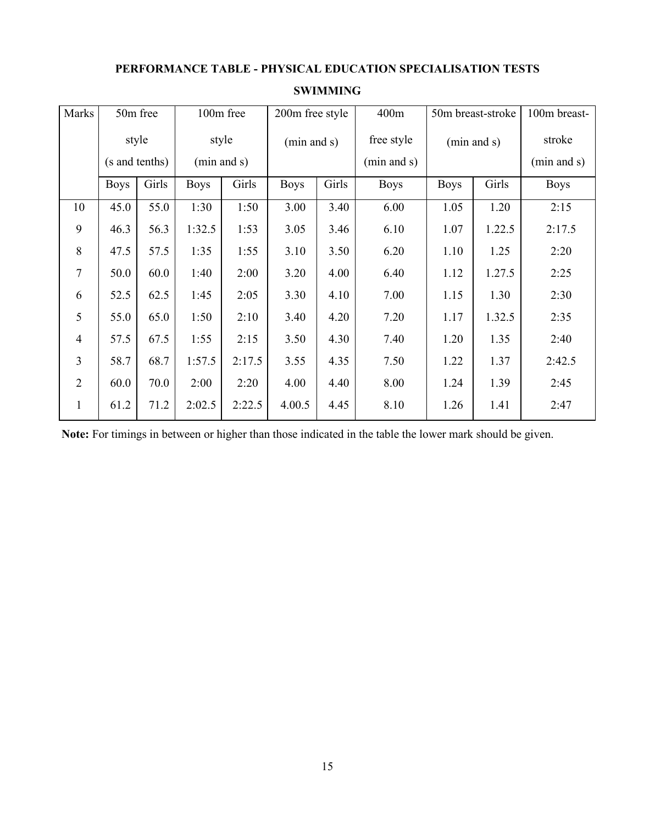# **PERFORMANCE TABLE - PHYSICAL EDUCATION SPECIALISATION TESTS**

| Marks          | 50m free    |                | 100m free   |        | 200m free style |       | 400m        | 50m breast-stroke |        | 100m breast- |
|----------------|-------------|----------------|-------------|--------|-----------------|-------|-------------|-------------------|--------|--------------|
|                | style       |                | style       |        | (min and s)     |       | free style  | (min and s)       |        | stroke       |
|                |             | (s and tenths) | (min and s) |        |                 |       | (min and s) |                   |        | (min and s)  |
|                | <b>Boys</b> | Girls          | <b>Boys</b> | Girls  | <b>Boys</b>     | Girls | <b>Boys</b> | <b>Boys</b>       | Girls  | <b>Boys</b>  |
| 10             | 45.0        | 55.0           | 1:30        | 1:50   | 3.00            | 3.40  | 6.00        | 1.05              | 1.20   | 2:15         |
| 9              | 46.3        | 56.3           | 1:32.5      | 1:53   | 3.05            | 3.46  | 6.10        | 1.07              | 1.22.5 | 2:17.5       |
| 8              | 47.5        | 57.5           | 1:35        | 1:55   | 3.10            | 3.50  | 6.20        | 1.10              | 1.25   | 2:20         |
| $\overline{7}$ | 50.0        | 60.0           | 1:40        | 2:00   | 3.20            | 4.00  | 6.40        | 1.12              | 1.27.5 | 2:25         |
| 6              | 52.5        | 62.5           | 1:45        | 2:05   | 3.30            | 4.10  | 7.00        | 1.15              | 1.30   | 2:30         |
| 5              | 55.0        | 65.0           | 1:50        | 2:10   | 3.40            | 4.20  | 7.20        | 1.17              | 1.32.5 | 2:35         |
| $\overline{4}$ | 57.5        | 67.5           | 1:55        | 2:15   | 3.50            | 4.30  | 7.40        | 1.20              | 1.35   | 2:40         |
| 3              | 58.7        | 68.7           | 1:57.5      | 2:17.5 | 3.55            | 4.35  | 7.50        | 1.22              | 1.37   | 2:42.5       |
| $\overline{2}$ | 60.0        | 70.0           | 2:00        | 2:20   | 4.00            | 4.40  | 8.00        | 1.24              | 1.39   | 2:45         |
| $\mathbf{1}$   | 61.2        | 71.2           | 2:02.5      | 2:22.5 | 4.00.5          | 4.45  | 8.10        | 1.26              | 1.41   | 2:47         |

### **SWIMMING**

**Note:** For timings in between or higher than those indicated in the table the lower mark should be given.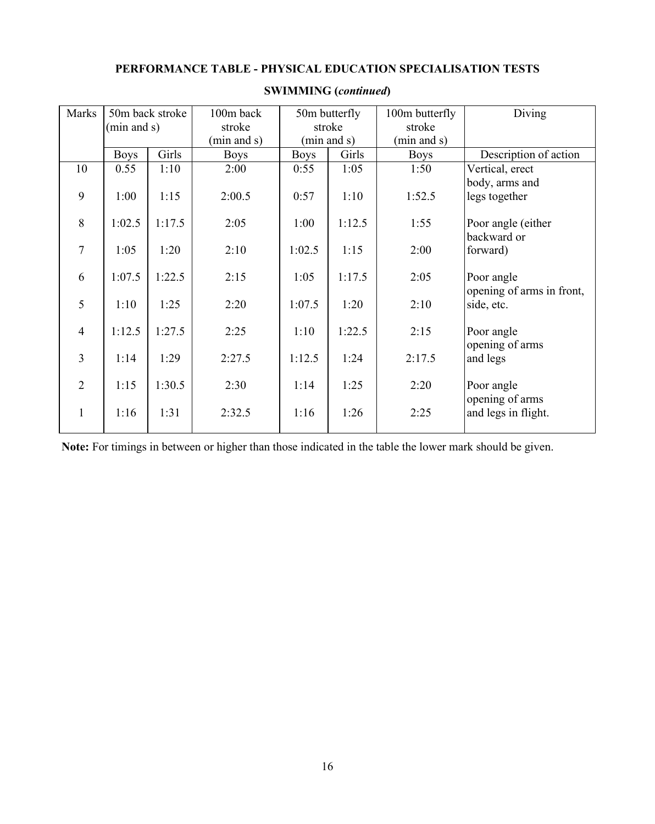# **PERFORMANCE TABLE - PHYSICAL EDUCATION SPECIALISATION TESTS**

| Marks          | 50m back stroke |        | 100m back   |             | 50m butterfly | 100m butterfly | Diving                    |
|----------------|-----------------|--------|-------------|-------------|---------------|----------------|---------------------------|
|                | (min and s)     |        | stroke      |             | stroke        | stroke         |                           |
|                |                 |        | (min and s) | (min and s) |               | (min and s)    |                           |
|                | <b>Boys</b>     | Girls  | <b>Boys</b> | <b>Boys</b> | Girls         | <b>Boys</b>    | Description of action     |
| 10             | 0.55            | 1:10   | 2:00        | 0:55        | 1:05          | 1:50           | Vertical, erect           |
|                |                 |        |             |             |               |                | body, arms and            |
| 9              | 1:00            | 1:15   | 2:00.5      | 0:57        | 1:10          | 1:52.5         | legs together             |
|                |                 |        |             |             |               |                |                           |
| 8              | 1:02.5          | 1:17.5 | 2:05        | 1:00        | 1:12.5        | 1:55           | Poor angle (either        |
|                |                 |        |             |             |               |                | backward or               |
| $\overline{7}$ | 1:05            | 1:20   | 2:10        | 1:02.5      | 1:15          | 2:00           | forward)                  |
|                |                 |        |             |             |               |                |                           |
| 6              | 1:07.5          | 1:22.5 | 2:15        | 1:05        | 1:17.5        | 2:05           | Poor angle                |
|                |                 |        |             |             |               |                | opening of arms in front, |
| 5              | 1:10            | 1:25   | 2:20        | 1:07.5      | 1:20          | 2:10           | side, etc.                |
|                |                 |        |             |             |               |                |                           |
| $\overline{4}$ | 1:12.5          | 1:27.5 | 2:25        | 1:10        | 1:22.5        | 2:15           | Poor angle                |
| $\overline{3}$ |                 |        |             |             |               |                | opening of arms           |
|                | 1:14            | 1:29   | 2:27.5      | 1:12.5      | 1:24          | 2:17.5         | and legs                  |
| $\overline{2}$ | 1:15            | 1:30.5 | 2:30        | 1:14        | 1:25          | 2:20           | Poor angle                |
|                |                 |        |             |             |               |                | opening of arms           |
| $\mathbf{1}$   | 1:16            | 1:31   | 2:32.5      | 1:16        | 1:26          | 2:25           | and legs in flight.       |
|                |                 |        |             |             |               |                |                           |
|                |                 |        |             |             |               |                |                           |

# **SWIMMING (***continued***)**

**Note:** For timings in between or higher than those indicated in the table the lower mark should be given.